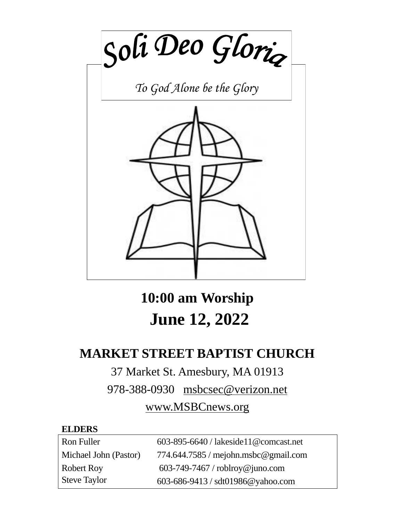

**10:00 am Worship June 12, 2022**

# **MARKET STREET BAPTIST CHURCH**

# 37 Market St. Amesbury, MA 01913

978-388-0930 msbcsec@verizon.net

# www.MSBCnews.org

### **ELDERS**

| Ron Fuller            | $603-895-6640$ / lakeside 11 @ comcast.net |
|-----------------------|--------------------------------------------|
| Michael John (Pastor) | 774.644.7585 / mejohn.msbc@gmail.com       |
| <b>Robert Roy</b>     | $603-749-7467$ / roblroy@juno.com          |
| <b>Steve Taylor</b>   | 603-686-9413 / sdt01986@yahoo.com          |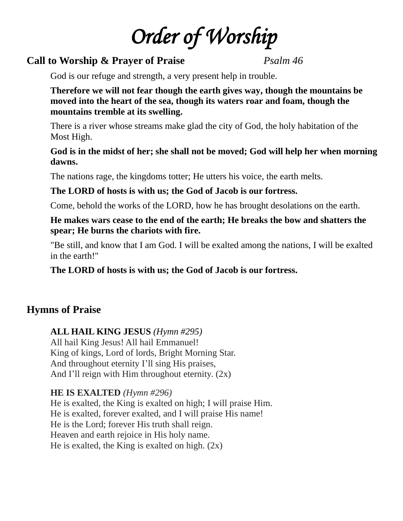# *Order of Worship*

### **Call to Worship & Prayer of Praise** *Psalm 46*

God is our refuge and strength, a very present help in trouble.

**Therefore we will not fear though the earth gives way, though the mountains be moved into the heart of the sea, though its waters roar and foam, though the mountains tremble at its swelling.** 

There is a river whose streams make glad the city of God, the holy habitation of the Most High.

### **God is in the midst of her; she shall not be moved; God will help her when morning dawns.**

The nations rage, the kingdoms totter; He utters his voice, the earth melts.

### **The LORD of hosts is with us; the God of Jacob is our fortress.**

Come, behold the works of the LORD, how he has brought desolations on the earth.

### **He makes wars cease to the end of the earth; He breaks the bow and shatters the spear; He burns the chariots with fire.**

"Be still, and know that I am God. I will be exalted among the nations, I will be exalted in the earth!"

**The LORD of hosts is with us; the God of Jacob is our fortress.** 

# **Hymns of Praise**

### **ALL HAIL KING JESUS** *(Hymn #295)*

All hail King Jesus! All hail Emmanuel! King of kings, Lord of lords, Bright Morning Star. And throughout eternity I'll sing His praises, And I'll reign with Him throughout eternity.  $(2x)$ 

### **HE IS EXALTED** *(Hymn #296)*

He is exalted, the King is exalted on high; I will praise Him. He is exalted, forever exalted, and I will praise His name! He is the Lord; forever His truth shall reign. Heaven and earth rejoice in His holy name. He is exalted, the King is exalted on high.  $(2x)$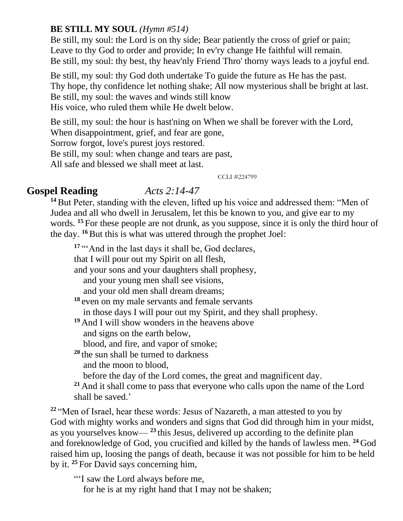### **BE STILL MY SOUL** *(Hymn #514)*

Be still, my soul: the Lord is on thy side; Bear patiently the cross of grief or pain; Leave to thy God to order and provide; In ev'ry change He faithful will remain. Be still, my soul: thy best, thy heav'nly Friend Thro' thorny ways leads to a joyful end.

Be still, my soul: thy God doth undertake To guide the future as He has the past. Thy hope, thy confidence let nothing shake; All now mysterious shall be bright at last. Be still, my soul: the waves and winds still know His voice, who ruled them while He dwelt below.

Be still, my soul: the hour is hast'ning on When we shall be forever with the Lord,

When disappointment, grief, and fear are gone,

Sorrow forgot, love's purest joys restored.

Be still, my soul: when change and tears are past,

All safe and blessed we shall meet at last.

CCLI #224799

### **Gospel Reading** *Acts 2:14-47*

**<sup>14</sup>**But Peter, standing with the eleven, lifted up his voice and addressed them: "Men of Judea and all who dwell in Jerusalem, let this be known to you, and give ear to my words. <sup>15</sup> For these people are not drunk, as you suppose, since it is only the third hour of the day. **<sup>16</sup>**But this is what was uttered through the prophet Joel:

<sup>17</sup> "And in the last days it shall be, God declares,

that I will pour out my Spirit on all flesh,

and your sons and your daughters shall prophesy,

and your young men shall see visions,

and your old men shall dream dreams;

**<sup>18</sup>** even on my male servants and female servants

in those days I will pour out my Spirit, and they shall prophesy.

**<sup>19</sup>** And I will show wonders in the heavens above

and signs on the earth below,

blood, and fire, and vapor of smoke;

**<sup>20</sup>** the sun shall be turned to darkness and the moon to blood,

before the day of the Lord comes, the great and magnificent day.

**<sup>21</sup>** And it shall come to pass that everyone who calls upon the name of the Lord shall be saved.'

**<sup>22</sup>** "Men of Israel, hear these words: Jesus of Nazareth, a man attested to you by God with mighty works and wonders and signs that God did through him in your midst, as you yourselves know— **<sup>23</sup>** this Jesus, delivered up according to the definite plan and foreknowledge of God, you crucified and killed by the hands of lawless men. **<sup>24</sup>** God raised him up, loosing the pangs of death, because it was not possible for him to be held by it. **<sup>25</sup>** For David says concerning him,

"'I saw the Lord always before me,

for he is at my right hand that I may not be shaken;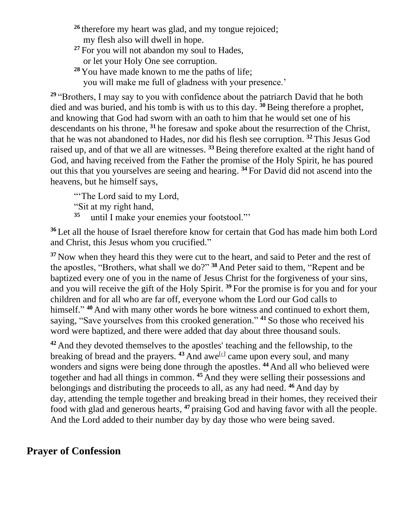- <sup>26</sup> therefore my heart was glad, and my tongue rejoiced; my flesh also will dwell in hope.
- **<sup>27</sup>** For you will not abandon my soul to Hades,
	- or let your Holy One see corruption.
- **<sup>28</sup>** You have made known to me the paths of life;
	- you will make me full of gladness with your presence.'

**<sup>29</sup>** "Brothers, I may say to you with confidence about the patriarch David that he both died and was buried, and his tomb is with us to this day. **<sup>30</sup>**Being therefore a prophet, and knowing that God had sworn with an oath to him that he would set one of his descendants on his throne, **<sup>31</sup>** he foresaw and spoke about the resurrection of the Christ, that he was not abandoned to Hades, nor did his flesh see corruption. **<sup>32</sup>** This Jesus God raised up, and of that we all are witnesses. **<sup>33</sup>** Being therefore exalted at the right hand of God, and having received from the Father the promise of the Holy Spirit, he has poured out this that you yourselves are seeing and hearing. **<sup>34</sup>** For David did not ascend into the heavens, but he himself says,

"The Lord said to my Lord,

"Sit at my right hand,

**35** until I make your enemies your footstool."'

**<sup>36</sup>** Let all the house of Israel therefore know for certain that God has made him both Lord and Christ, this Jesus whom you crucified."

**<sup>37</sup>** Now when they heard this they were cut to the heart, and said to Peter and the rest of the apostles, "Brothers, what shall we do?" **<sup>38</sup>** And Peter said to them, "Repent and be baptized every one of you in the name of Jesus Christ for the forgiveness of your sins, and you will receive the gift of the Holy Spirit. **<sup>39</sup>** For the promise is for you and for your children and for all who are far off, everyone whom the Lord our God calls to himself." <sup>40</sup> And with many other words he bore witness and continued to exhort them, saying, "Save yourselves from this crooked generation." **<sup>41</sup>** So those who received his word were baptized, and there were added that day about three thousand souls.

**<sup>42</sup>** And they devoted themselves to the apostles' teaching and the fellowship, to the breaking of bread and the prayers. <sup>43</sup> And awe<sup>[c]</sup> came upon every soul, and many wonders and signs were being done through the apostles. <sup>44</sup> And all who believed were together and had all things in common. **<sup>45</sup>** And they were selling their possessions and belongings and distributing the proceeds to all, as any had need. **<sup>46</sup>** And day by day, attending the temple together and breaking bread in their homes, they received their food with glad and generous hearts, **<sup>47</sup>** praising God and having favor with all the people. And the Lord added to their number day by day those who were being saved.

# **Prayer of Confession**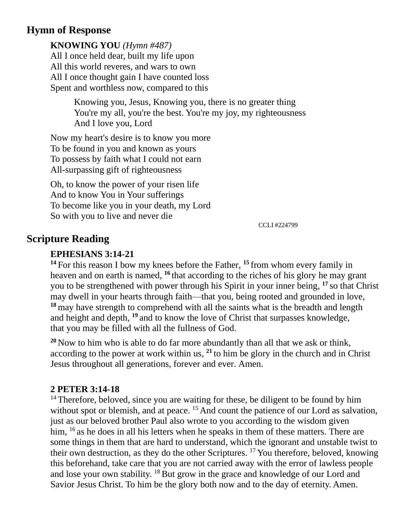# **Hymn of Response**

**KNOWING YOU** *(Hymn #487)* All I once held dear, built my life upon All this world reveres, and wars to own All I once thought gain I have counted loss Spent and worthless now, compared to this

> Knowing you, Jesus, Knowing you, there is no greater thing You're my all, you're the best. You're my joy, my righteousness And I love you, Lord

Now my heart's desire is to know you more To be found in you and known as yours To possess by faith what I could not earn All-surpassing gift of righteousness

Oh, to know the power of your risen life And to know You in Your sufferings To become like you in your death, my Lord So with you to live and never die

CCLI #224799

### **Scripture Reading**

### **EPHESIANS 3:14-21**

**<sup>14</sup>** For this reason I bow my knees before the Father, **<sup>15</sup>** from whom every family in heaven and on earth is named, **<sup>16</sup>** that according to the riches of his glory he may grant you to be strengthened with power through his Spirit in your inner being, **<sup>17</sup>** so that Christ may dwell in your hearts through faith—that you, being rooted and grounded in love, **<sup>18</sup>** may have strength to comprehend with all the saints what is the breadth and length and height and depth, **<sup>19</sup>** and to know the love of Christ that surpasses knowledge, that you may be filled with all the fullness of God.

**<sup>20</sup>** Now to him who is able to do far more abundantly than all that we ask or think, according to the power at work within us, **<sup>21</sup>** to him be glory in the church and in Christ Jesus throughout all generations, forever and ever. Amen.

### **2 PETER 3:14-18**

<sup>14</sup> Therefore, beloved, since you are waiting for these, be diligent to be found by him without spot or blemish, and at peace. <sup>15</sup> And count the patience of our Lord as salvation, just as our beloved brother Paul also wrote to you according to the wisdom given him, <sup>16</sup> as he does in all his letters when he speaks in them of these matters. There are some things in them that are hard to understand, which the ignorant and unstable twist to their own destruction, as they do the other Scriptures. <sup>17</sup> You therefore, beloved, knowing this beforehand, take care that you are not carried away with the error of lawless people and lose your own stability. <sup>18</sup> But grow in the grace and knowledge of our Lord and Savior Jesus Christ. To him be the glory both now and to the day of eternity. Amen.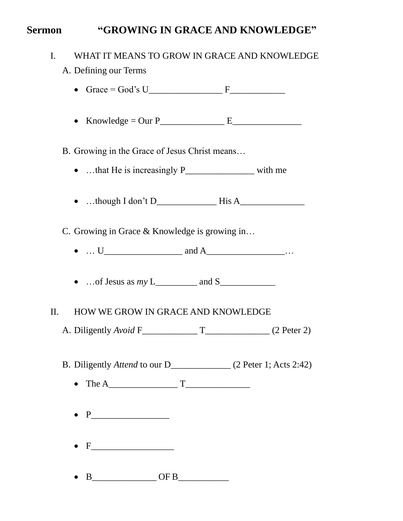# **Sermon "GROWING IN GRACE AND KNOWLEDGE"**

| WHAT IT MEANS TO GROW IN GRACE AND KNOWLEDGE<br>I.<br>A. Defining our Terms |
|-----------------------------------------------------------------------------|
|                                                                             |
|                                                                             |
| B. Growing in the Grace of Jesus Christ means                               |
| •  that He is increasingly P________________________ with me                |
|                                                                             |
| C. Growing in Grace & Knowledge is growing in                               |
|                                                                             |
|                                                                             |
| HOW WE GROW IN GRACE AND KNOWLEDGE<br>$\prod$ .                             |
|                                                                             |
| B. Diligently Attend to our D_____________ (2 Peter 1; Acts 2:42)           |
|                                                                             |
|                                                                             |
|                                                                             |